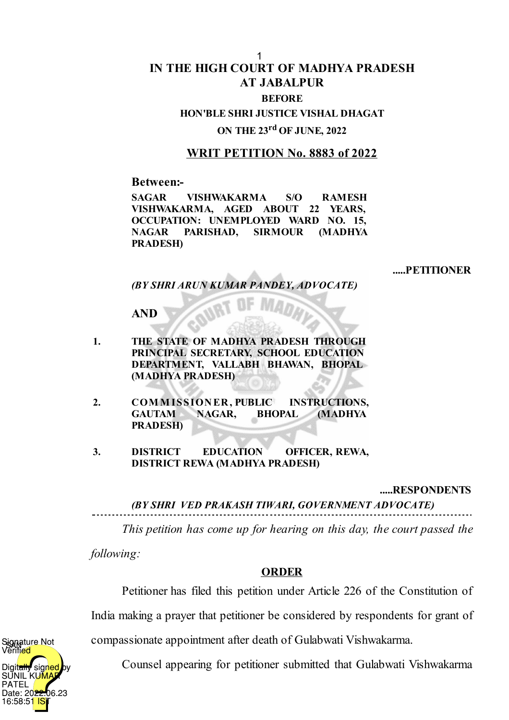# **IN THE HIGH COURT OF MADHYA PRADESH AT JABALPUR BEFORE** 1

### **HON'BLE SHRI JUSTICE VISHAL DHAGAT**

# **ON THE 23 rd OF JUNE, 2022**

## **WRIT PETITION No. 8883 of 2022**

**Between:-**

**SAGAR VISHWAKARMA S/O RAMESH VISHWAKARMA, AGED ABOUT 22 YEARS, OCCUPATION: UNEMPLOYED WARD NO. 15, NAGAR PARISHAD, SIRMOUR (MADHYA PRADESH)**

#### **.....PETITIONER**

*(BY SHRI ARUN KUMAR PANDEY, ADVOCATE)*

### **AND**

- **1. THE STATE OF MADHYA PRADESH THROUGH PRINCIPAL SECRETARY, SCHOOL EDUCATION DEPARTMENT, VALLABH BHAWAN, BHOPAL (MADHYA PRADESH)**
- **2. COM M ISSION ER , PUBLIC INSTRUCTIONS, GAUTAM NAGAR, BHOPAL (MADHYA PRADESH)**
- **3. DISTRICT EDUCATION OFFICER, REWA, DISTRICT REWA (MADHYA PRADESH)**

#### **.....RESPONDENTS**

*(BY SHRI VED PRAKASH TIWARI, GOVERNMENT ADVOCATE)*

*This petition has come up for hearing on this day, the court passed the*

*following:*

### **ORDER**

Petitioner has filed this petition under Article 226 of the Constitution of

India making a prayer that petitioner be considered by respondents for grant of

compassionate appointment after death of Gulabwati Vishwakarma.

Counsel appearing for petitioner submitted that Gulabwati Vishwakarma